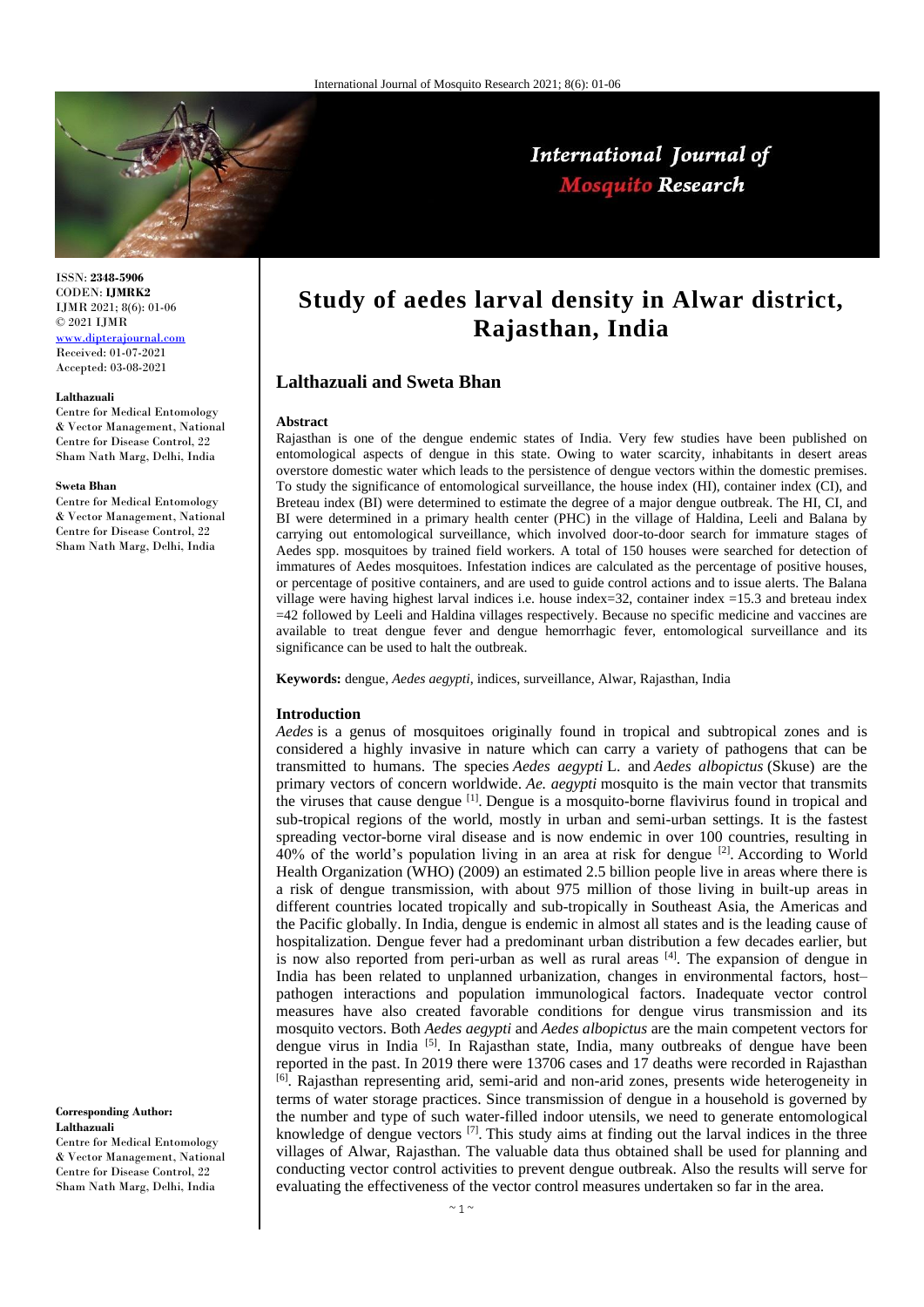

# International Journal of **Mosquito Research**

ISSN: **2348-5906** CODEN: **IJMRK2** IJMR 2021; 8(6): 01-06 © 2021 IJMR [www.dipterajournal.com](file://///server/d/Mosquito/Issue/8%20Volume/www.dipterajournal.com)

Received: 01-07-2021 Accepted: 03-08-2021

#### **Lalthazuali**

Centre for Medical Entomology & Vector Management, National Centre for Disease Control, 22 Sham Nath Marg, Delhi, India

#### **Sweta Bhan**

Centre for Medical Entomology & Vector Management, National Centre for Disease Control, 22 Sham Nath Marg, Delhi, India

#### **Corresponding Author: Lalthazuali**

Centre for Medical Entomology & Vector Management, National Centre for Disease Control, 22 Sham Nath Marg, Delhi, India

# **Study of aedes larval density in Alwar district, Rajasthan, India**

# **Lalthazuali and Sweta Bhan**

#### **Abstract**

Rajasthan is one of the dengue endemic states of India. Very few studies have been published on entomological aspects of dengue in this state. Owing to water scarcity, inhabitants in desert areas overstore domestic water which leads to the persistence of dengue vectors within the domestic premises. To study the significance of entomological surveillance, the house index (HI), container index (CI), and Breteau index (BI) were determined to estimate the degree of a major dengue outbreak. The HI, CI, and BI were determined in a primary health center (PHC) in the village of Haldina, Leeli and Balana by carrying out entomological surveillance, which involved door-to-door search for immature stages of Aedes spp. mosquitoes by trained field workers. A total of 150 houses were searched for detection of immatures of Aedes mosquitoes. Infestation indices are calculated as the percentage of positive houses, or percentage of positive containers, and are used to guide control actions and to issue alerts. The Balana village were having highest larval indices i.e. house index=32, container index =15.3 and breteau index =42 followed by Leeli and Haldina villages respectively. Because no specific medicine and vaccines are available to treat dengue fever and dengue hemorrhagic fever, entomological surveillance and its significance can be used to halt the outbreak.

**Keywords:** dengue, *Aedes aegypti*, indices, surveillance, Alwar, Rajasthan, India

## **Introduction**

*Aedes* is a genus of mosquitoes originally found in tropical and subtropical zones and is considered a highly invasive in nature which can carry a variety of pathogens that can be transmitted to humans. The species *Aedes aegypti* L. and *Aedes albopictus* (Skuse) are the primary vectors of concern worldwide. *Ae. aegypti* mosquito is the main vector that transmits the viruses that cause dengue  $\left[1\right]$ . Dengue is a mosquito-borne flavivirus found in tropical and sub-tropical regions of the world, mostly in urban and semi-urban settings. It is the fastest spreading vector-borne viral disease and is now endemic in over 100 countries, resulting in 40% of the world's population living in an area at risk for dengue  $[2]$ . According to World Health Organization (WHO) (2009) an estimated 2.5 billion people live in areas where there is a risk of dengue transmission, with about 975 million of those living in built-up areas in different countries located tropically and sub-tropically in Southeast Asia, the Americas and the Pacific globally. In India, dengue is endemic in almost all states and is the leading cause of hospitalization. Dengue fever had a predominant urban distribution a few decades earlier, but is now also reported from peri-urban as well as rural areas  $[4]$ . The expansion of dengue in India has been related to unplanned urbanization, changes in environmental factors, hostpathogen interactions and population immunological factors. Inadequate vector control measures have also created favorable conditions for dengue virus transmission and its mosquito vectors. Both *Aedes aegypti* and *Aedes albopictus* are the main competent vectors for dengue virus in India<sup>[5]</sup>. In Rajasthan state, India, many outbreaks of dengue have been reported in the past. In 2019 there were 13706 cases and 17 deaths were recorded in Rajasthan [6]. Rajasthan representing arid, semi-arid and non-arid zones, presents wide heterogeneity in terms of water storage practices. Since transmission of dengue in a household is governed by the number and type of such water-filled indoor utensils, we need to generate entomological knowledge of dengue vectors  $\left[7\right]$ . This study aims at finding out the larval indices in the three villages of Alwar, Rajasthan. The valuable data thus obtained shall be used for planning and conducting vector control activities to prevent dengue outbreak. Also the results will serve for evaluating the effectiveness of the vector control measures undertaken so far in the area.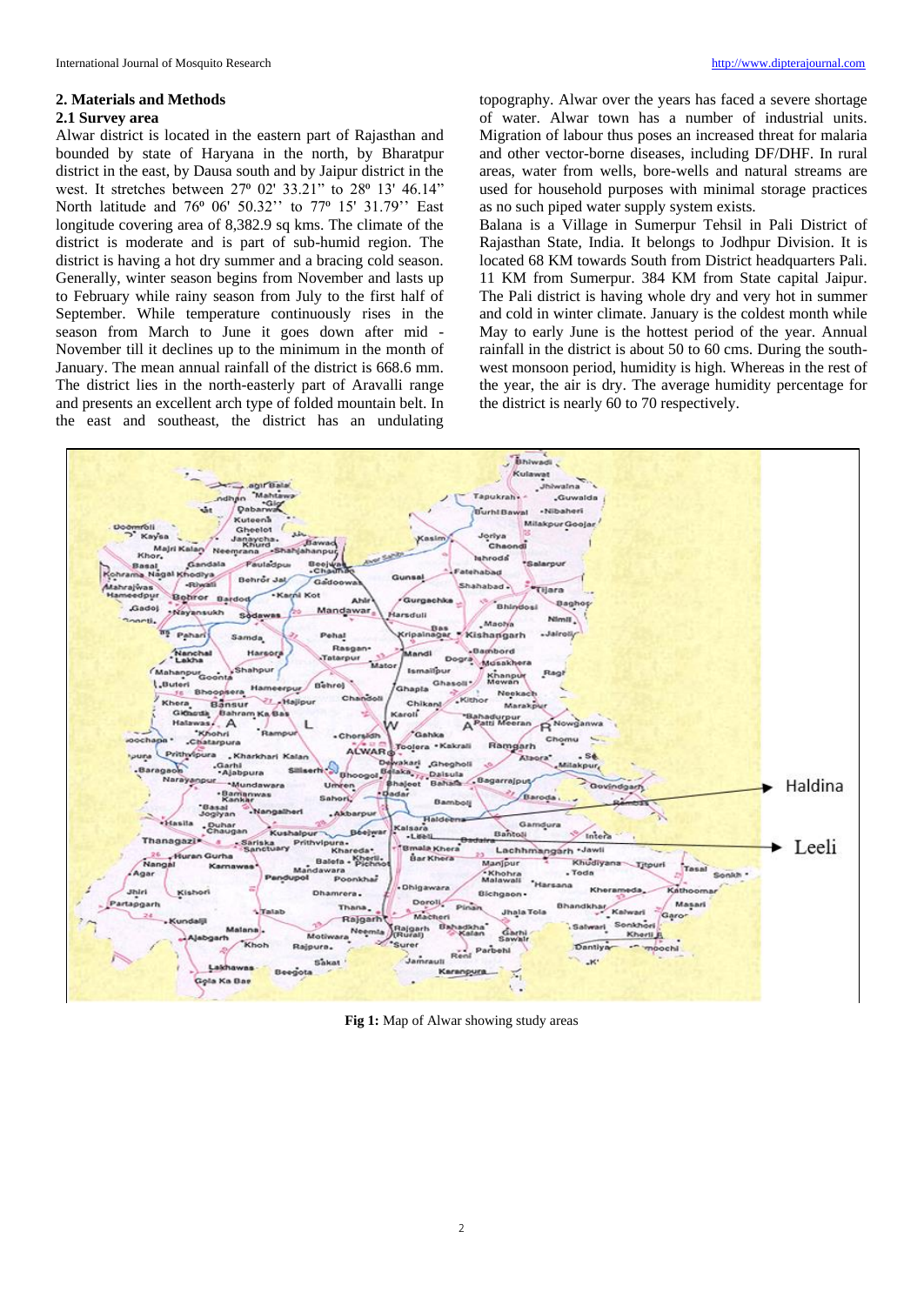#### **2. Materials and Methods**

### **2.1 Survey area**

Alwar district is located in the eastern part of Rajasthan and bounded by state of Haryana in the north, by Bharatpur district in the east, by Dausa south and by Jaipur district in the west. It stretches between 27<sup>o</sup> 02' 33.21" to 28<sup>o</sup> 13' 46.14" North latitude and 76<sup>o</sup> 06' 50.32" to 77<sup>o</sup> 15' 31.79" East longitude covering area of 8,382.9 sq kms. The climate of the district is moderate and is part of sub-humid region. The district is having a hot dry summer and a bracing cold season. Generally, winter season begins from November and lasts up to February while rainy season from July to the first half of September. While temperature continuously rises in the season from March to June it goes down after mid - November till it declines up to the minimum in the month of January. The mean annual rainfall of the district is 668.6 mm. The district lies in the north-easterly part of Aravalli range and presents an excellent arch type of folded mountain belt. In the east and southeast, the district has an undulating

topography. Alwar over the years has faced a severe shortage of water. Alwar town has a number of industrial units. Migration of labour thus poses an increased threat for malaria and other vector-borne diseases, including DF/DHF. In rural areas, water from wells, bore-wells and natural streams are used for household purposes with minimal storage practices as no such piped water supply system exists.

Balana is a Village in Sumerpur Tehsil in Pali District of Rajasthan State, India. It belongs to Jodhpur Division. It is located 68 KM towards South from District headquarters Pali. 11 KM from Sumerpur. 384 KM from State capital Jaipur. The Pali district is having whole dry and very hot in summer and cold in winter climate. January is the coldest month while May to early June is the hottest period of the year. Annual rainfall in the district is about 50 to 60 cms. During the southwest monsoon period, humidity is high. Whereas in the rest of the year, the air is dry. The average humidity percentage for the district is nearly 60 to 70 respectively.



**Fig 1:** Map of Alwar showing study areas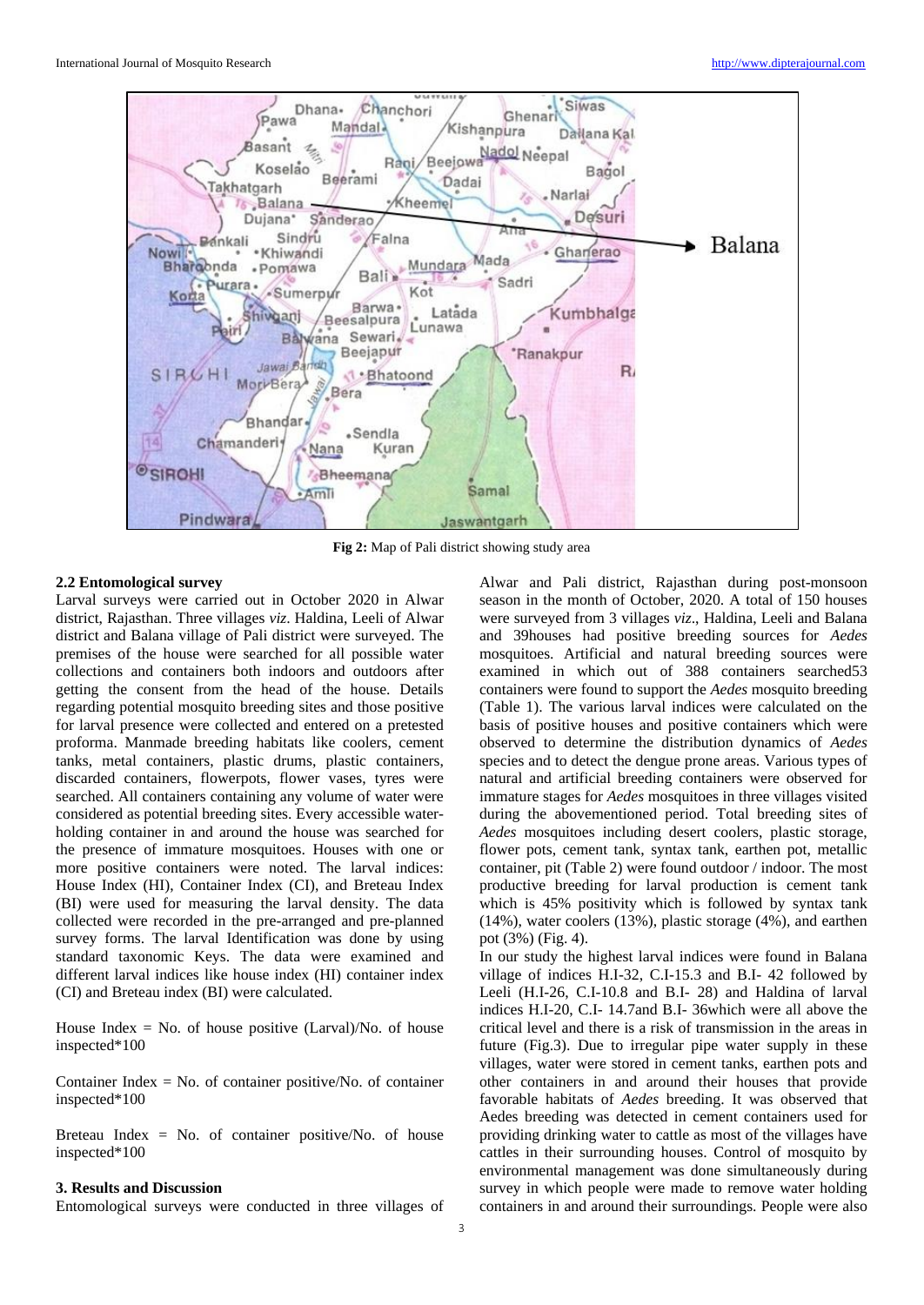

**Fig 2:** Map of Pali district showing study area

# **2.2 Entomological survey**

Larval surveys were carried out in October 2020 in Alwar district, Rajasthan. Three villages *viz*. Haldina, Leeli of Alwar district and Balana village of Pali district were surveyed. The premises of the house were searched for all possible water collections and containers both indoors and outdoors after getting the consent from the head of the house. Details regarding potential mosquito breeding sites and those positive for larval presence were collected and entered on a pretested proforma. Manmade breeding habitats like coolers, cement tanks, metal containers, plastic drums, plastic containers, discarded containers, flowerpots, flower vases, tyres were searched. All containers containing any volume of water were considered as potential breeding sites. Every accessible waterholding container in and around the house was searched for the presence of immature mosquitoes. Houses with one or more positive containers were noted. The larval indices: House Index (HI), Container Index (CI), and Breteau Index (BI) were used for measuring the larval density. The data collected were recorded in the pre-arranged and pre-planned survey forms. The larval Identification was done by using standard taxonomic Keys. The data were examined and different larval indices like house index (HI) container index (CI) and Breteau index (BI) were calculated.

House Index  $=$  No. of house positive (Larval)/No. of house inspected\*100

Container Index  $=$  No. of container positive/No. of container inspected\*100

Breteau Index  $=$  No. of container positive/No. of house inspected\*100

### **3. Results and Discussion**

Entomological surveys were conducted in three villages of

Alwar and Pali district, Rajasthan during post-monsoon season in the month of October, 2020. A total of 150 houses were surveyed from 3 villages *viz*., Haldina, Leeli and Balana and 39houses had positive breeding sources for *Aedes* mosquitoes. Artificial and natural breeding sources were examined in which out of 388 containers searched53 containers were found to support the *Aedes* mosquito breeding (Table 1). The various larval indices were calculated on the basis of positive houses and positive containers which were observed to determine the distribution dynamics of *Aedes* species and to detect the dengue prone areas. Various types of natural and artificial breeding containers were observed for immature stages for *Aedes* mosquitoes in three villages visited during the abovementioned period. Total breeding sites of *Aedes* mosquitoes including desert coolers, plastic storage, flower pots, cement tank, syntax tank, earthen pot, metallic container, pit (Table 2) were found outdoor / indoor. The most productive breeding for larval production is cement tank which is 45% positivity which is followed by syntax tank (14%), water coolers (13%), plastic storage (4%), and earthen pot (3%) (Fig. 4).

In our study the highest larval indices were found in Balana village of indices H.I-32, C.I-15.3 and B.I- 42 followed by Leeli (H.I-26, C.I-10.8 and B.I- 28) and Haldina of larval indices H.I-20, C.I- 14.7and B.I- 36which were all above the critical level and there is a risk of transmission in the areas in future (Fig.3). Due to irregular pipe water supply in these villages, water were stored in cement tanks, earthen pots and other containers in and around their houses that provide favorable habitats of *Aedes* breeding. It was observed that Aedes breeding was detected in cement containers used for providing drinking water to cattle as most of the villages have cattles in their surrounding houses. Control of mosquito by environmental management was done simultaneously during survey in which people were made to remove water holding containers in and around their surroundings. People were also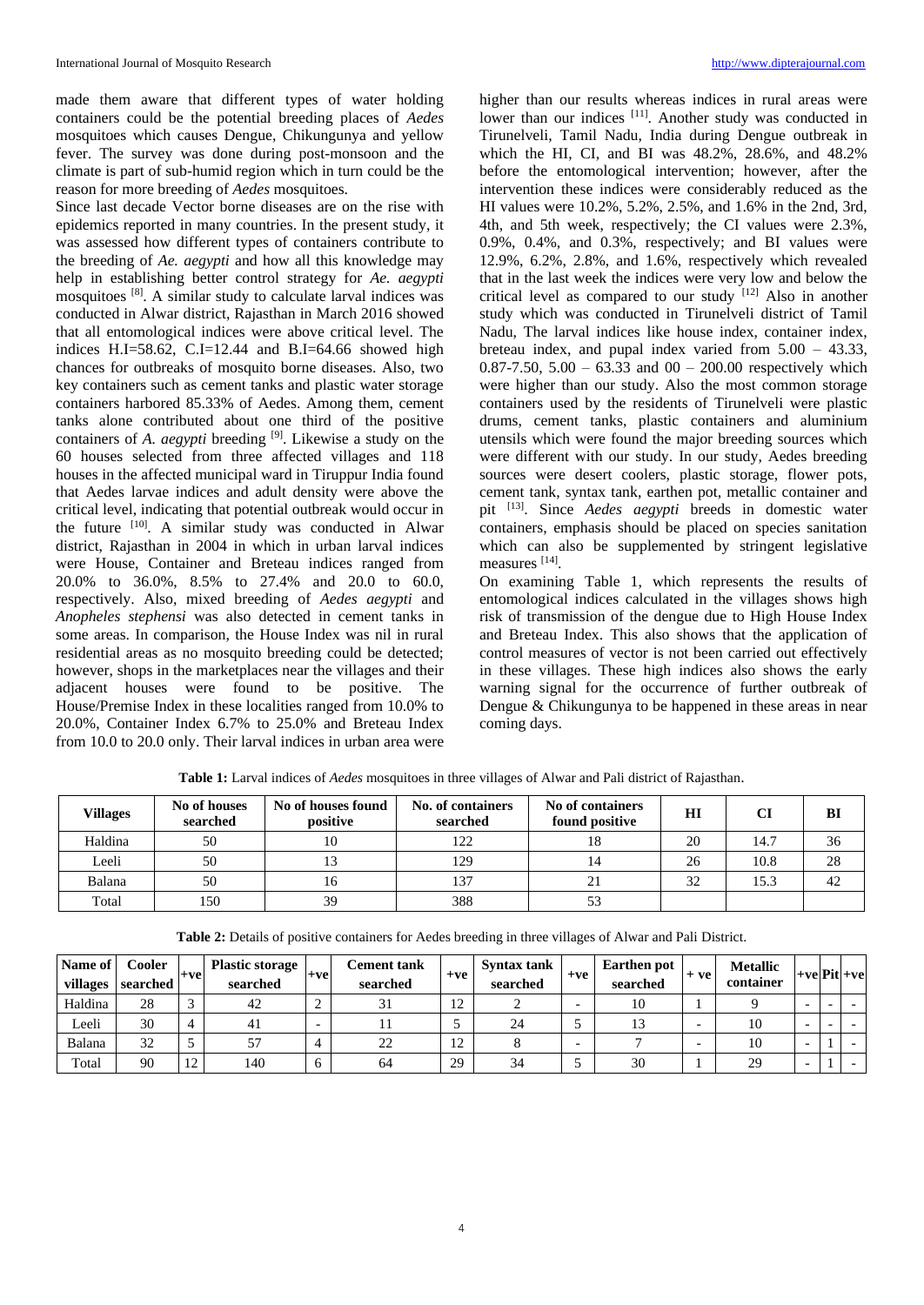made them aware that different types of water holding containers could be the potential breeding places of *Aedes* mosquitoes which causes Dengue, Chikungunya and yellow fever. The survey was done during post-monsoon and the climate is part of sub-humid region which in turn could be the reason for more breeding of *Aedes* mosquitoes.

Since last decade Vector borne diseases are on the rise with epidemics reported in many countries. In the present study, it was assessed how different types of containers contribute to the breeding of *Ae. aegypti* and how all this knowledge may help in establishing better control strategy for *Ae. aegypti* mosquitoes [8] . A similar study to calculate larval indices was conducted in Alwar district, Rajasthan in March 2016 showed that all entomological indices were above critical level. The indices H.I=58.62, C.I=12.44 and B.I=64.66 showed high chances for outbreaks of mosquito borne diseases. Also, two key containers such as cement tanks and plastic water storage containers harbored 85.33% of Aedes. Among them, cement tanks alone contributed about one third of the positive containers of *A. aegypti* breeding <sup>[9]</sup>. Likewise a study on the 60 houses selected from three affected villages and 118 houses in the affected municipal ward in Tiruppur India found that Aedes larvae indices and adult density were above the critical level, indicating that potential outbreak would occur in the future  $[10]$ . A similar study was conducted in Alwar district, Rajasthan in 2004 in which in urban larval indices were House, Container and Breteau indices ranged from 20.0% to 36.0%, 8.5% to 27.4% and 20.0 to 60.0, respectively. Also, mixed breeding of *Aedes aegypti* and *Anopheles stephensi* was also detected in cement tanks in some areas. In comparison, the House Index was nil in rural residential areas as no mosquito breeding could be detected; however, shops in the marketplaces near the villages and their adjacent houses were found to be positive. The House/Premise Index in these localities ranged from 10.0% to 20.0%, Container Index 6.7% to 25.0% and Breteau Index from 10.0 to 20.0 only. Their larval indices in urban area were higher than our results whereas indices in rural areas were lower than our indices [11]. Another study was conducted in Tirunelveli, Tamil Nadu, India during Dengue outbreak in which the HI, CI, and BI was 48.2%, 28.6%, and 48.2% before the entomological intervention; however, after the intervention these indices were considerably reduced as the HI values were 10.2%, 5.2%, 2.5%, and 1.6% in the 2nd, 3rd, 4th, and 5th week, respectively; the CI values were 2.3%, 0.9%, 0.4%, and 0.3%, respectively; and BI values were 12.9%, 6.2%, 2.8%, and 1.6%, respectively which revealed that in the last week the indices were very low and below the critical level as compared to our study [12] Also in another study which was conducted in Tirunelveli district of Tamil Nadu, The larval indices like house index, container index, breteau index, and pupal index varied from 5.00 – 43.33, 0.87-7.50,  $5.00 - 63.33$  and  $00 - 200.00$  respectively which were higher than our study. Also the most common storage containers used by the residents of Tirunelveli were plastic drums, cement tanks, plastic containers and aluminium utensils which were found the major breeding sources which were different with our study. In our study, Aedes breeding sources were desert coolers, plastic storage, flower pots, cement tank, syntax tank, earthen pot, metallic container and pit [13] . Since *Aedes aegypti* breeds in domestic water containers, emphasis should be placed on species sanitation which can also be supplemented by stringent legislative measures [14].

On examining Table 1, which represents the results of entomological indices calculated in the villages shows high risk of transmission of the dengue due to High House Index and Breteau Index. This also shows that the application of control measures of vector is not been carried out effectively in these villages. These high indices also shows the early warning signal for the occurrence of further outbreak of Dengue & Chikungunya to be happened in these areas in near coming days.

| <b>Villages</b> | No of houses<br>searched | No of houses found<br>positive | No. of containers<br>searched | No of containers<br>found positive | H  | CI   | BI |
|-----------------|--------------------------|--------------------------------|-------------------------------|------------------------------------|----|------|----|
| Haldina         | 50                       | 10                             | 122                           |                                    | 20 | 14.7 | 36 |
| Leeli           | 50                       |                                | 129                           |                                    | 26 | 10.8 | 28 |
| Balana          | 50                       | 10                             | 137                           | 21                                 | 32 | 15.3 | 42 |
| Total           | 150                      | 39                             | 388                           |                                    |    |      |    |

**Table 1:** Larval indices of *Aedes* mosquitoes in three villages of Alwar and Pali district of Rajasthan.

| Name of<br>villages | <b>Cooler</b><br>searched | $+ve$             | <b>Plastic storage</b><br>searched | $+ve$        | <b>Cement tank</b><br>searched | $+ve$                | Syntax tank<br>searched | $+ve$ | <b>Earthen</b> pot<br>searched | $+ve$ | <b>Metallic</b><br>container | $+ve$ Pit $+ve$ |  |
|---------------------|---------------------------|-------------------|------------------------------------|--------------|--------------------------------|----------------------|-------------------------|-------|--------------------------------|-------|------------------------------|-----------------|--|
| Haldina             | 28                        | $\sim$            | 42                                 | $\sim$<br>∸  | 31                             | 12<br>$\overline{1}$ |                         | -     | 10                             |       |                              | -               |  |
| Leeli               | 30                        | 4                 | 41                                 |              |                                |                      | 24                      |       |                                |       | 10                           | -               |  |
| Balana              | 32                        |                   | 57                                 | 4            | 22                             | 12<br>$\overline{1}$ |                         | -     |                                |       | 10                           | -               |  |
| Total               | 90                        | $1^{\circ}$<br>14 | 140                                | <sub>0</sub> | 64                             | 29                   | 34                      |       | 30                             |       | 29                           | -               |  |

**Table 2:** Details of positive containers for Aedes breeding in three villages of Alwar and Pali District.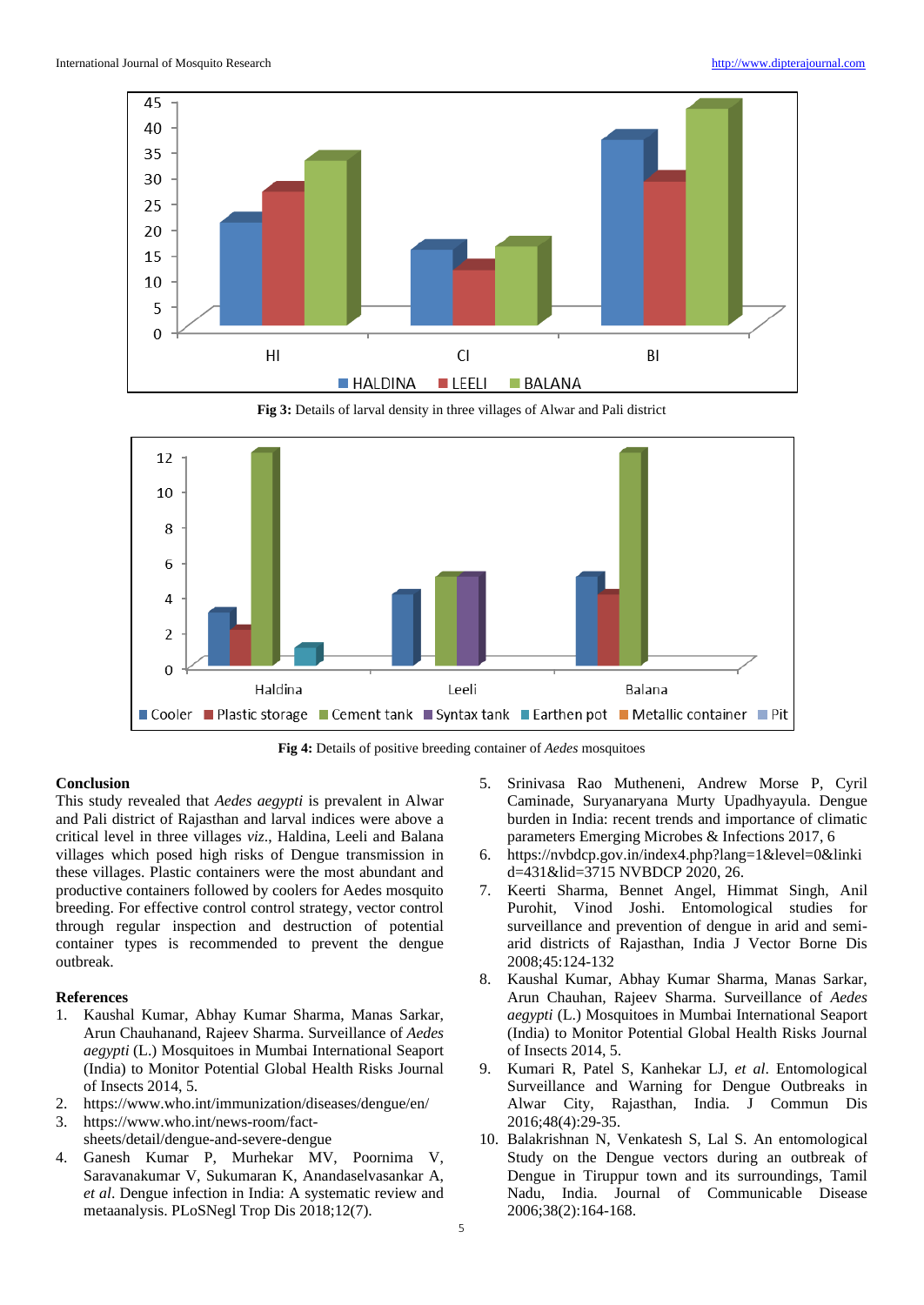

**Fig 3:** Details of larval density in three villages of Alwar and Pali district



**Fig 4:** Details of positive breeding container of *Aedes* mosquitoes

# **Conclusion**

This study revealed that *Aedes aegypti* is prevalent in Alwar and Pali district of Rajasthan and larval indices were above a critical level in three villages *viz*., Haldina, Leeli and Balana villages which posed high risks of Dengue transmission in these villages. Plastic containers were the most abundant and productive containers followed by coolers for Aedes mosquito breeding. For effective control control strategy, vector control through regular inspection and destruction of potential container types is recommended to prevent the dengue outbreak.

# **References**

- 1. Kaushal Kumar, Abhay Kumar Sharma, Manas Sarkar, Arun Chauhanand, Rajeev Sharma. Surveillance of *Aedes aegypti* (L.) Mosquitoes in Mumbai International Seaport (India) to Monitor Potential Global Health Risks Journal of Insects 2014, 5.
- 2. https://www.who.int/immunization/diseases/dengue/en/
- 3. https://www.who.int/news-room/factsheets/detail/dengue-and-severe-dengue
- 4. Ganesh Kumar P, Murhekar MV, Poornima V, Saravanakumar V, Sukumaran K, Anandaselvasankar A, *et al*. Dengue infection in India: A systematic review and metaanalysis. PLoSNegl Trop Dis 2018;12(7).
- 5. Srinivasa Rao Mutheneni, Andrew Morse P, Cyril Caminade, Suryanaryana Murty Upadhyayula. Dengue burden in India: recent trends and importance of climatic parameters Emerging Microbes & Infections 2017, 6
- 6. https://nvbdcp.gov.in/index4.php?lang=1&level=0&linki d=431&lid=3715 NVBDCP 2020, 26.
- 7. Keerti Sharma, Bennet Angel, Himmat Singh, Anil Purohit, Vinod Joshi. Entomological studies for surveillance and prevention of dengue in arid and semiarid districts of Rajasthan, India J Vector Borne Dis 2008;45:124-132
- 8. Kaushal Kumar, Abhay Kumar Sharma, Manas Sarkar, Arun Chauhan, Rajeev Sharma. Surveillance of *Aedes aegypti* (L.) Mosquitoes in Mumbai International Seaport (India) to Monitor Potential Global Health Risks Journal of Insects 2014, 5.
- 9. Kumari R, Patel S, Kanhekar LJ, *et al*. Entomological Surveillance and Warning for Dengue Outbreaks in Alwar City, Rajasthan, India. J Commun Dis 2016;48(4):29-35.
- 10. Balakrishnan N, Venkatesh S, Lal S. An entomological Study on the Dengue vectors during an outbreak of Dengue in Tiruppur town and its surroundings, Tamil Nadu, India. Journal of Communicable Disease 2006;38(2):164-168.